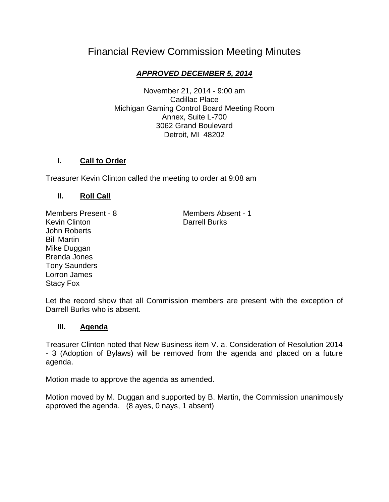# Financial Review Commission Meeting Minutes

## *APPROVED DECEMBER 5, 2014*

November 21, 2014 - 9:00 am Cadillac Place Michigan Gaming Control Board Meeting Room Annex, Suite L-700 3062 Grand Boulevard Detroit, MI 48202

## **I. Call to Order**

Treasurer Kevin Clinton called the meeting to order at 9:08 am

## **II. Roll Call**

Members Present - 8 Members Absent - 1 Kevin Clinton **Darrell Burks** John Roberts Bill Martin Mike Duggan Brenda Jones Tony Saunders Lorron James Stacy Fox

Let the record show that all Commission members are present with the exception of Darrell Burks who is absent.

## **III. Agenda**

Treasurer Clinton noted that New Business item V. a. Consideration of Resolution 2014 - 3 (Adoption of Bylaws) will be removed from the agenda and placed on a future agenda.

Motion made to approve the agenda as amended.

Motion moved by M. Duggan and supported by B. Martin, the Commission unanimously approved the agenda. (8 ayes, 0 nays, 1 absent)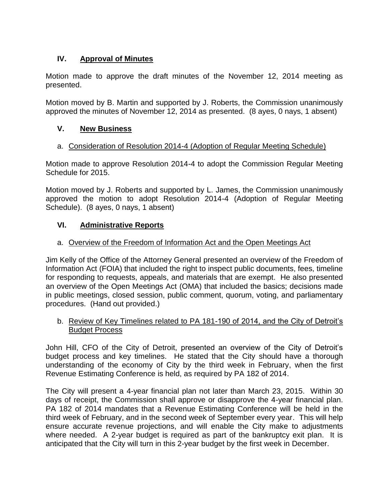## **IV. Approval of Minutes**

Motion made to approve the draft minutes of the November 12, 2014 meeting as presented.

Motion moved by B. Martin and supported by J. Roberts, the Commission unanimously approved the minutes of November 12, 2014 as presented. (8 ayes, 0 nays, 1 absent)

## **V. New Business**

#### a. Consideration of Resolution 2014-4 (Adoption of Regular Meeting Schedule)

Motion made to approve Resolution 2014-4 to adopt the Commission Regular Meeting Schedule for 2015.

Motion moved by J. Roberts and supported by L. James, the Commission unanimously approved the motion to adopt Resolution 2014-4 (Adoption of Regular Meeting Schedule). (8 ayes, 0 nays, 1 absent)

## **VI. Administrative Reports**

#### a. Overview of the Freedom of Information Act and the Open Meetings Act

Jim Kelly of the Office of the Attorney General presented an overview of the Freedom of Information Act (FOIA) that included the right to inspect public documents, fees, timeline for responding to requests, appeals, and materials that are exempt. He also presented an overview of the Open Meetings Act (OMA) that included the basics; decisions made in public meetings, closed session, public comment, quorum, voting, and parliamentary procedures. (Hand out provided.)

#### b. Review of Key Timelines related to PA 181-190 of 2014, and the City of Detroit's Budget Process

John Hill, CFO of the City of Detroit, presented an overview of the City of Detroit's budget process and key timelines. He stated that the City should have a thorough understanding of the economy of City by the third week in February, when the first Revenue Estimating Conference is held, as required by PA 182 of 2014.

The City will present a 4-year financial plan not later than March 23, 2015. Within 30 days of receipt, the Commission shall approve or disapprove the 4-year financial plan. PA 182 of 2014 mandates that a Revenue Estimating Conference will be held in the third week of February, and in the second week of September every year. This will help ensure accurate revenue projections, and will enable the City make to adjustments where needed. A 2-year budget is required as part of the bankruptcy exit plan. It is anticipated that the City will turn in this 2-year budget by the first week in December.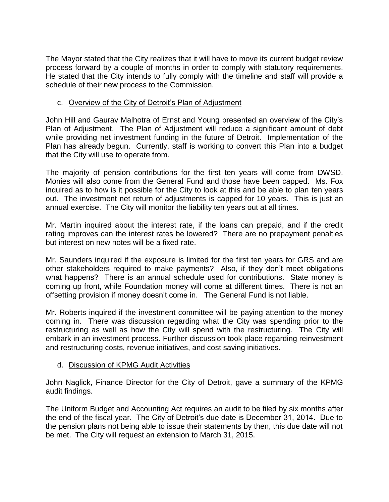The Mayor stated that the City realizes that it will have to move its current budget review process forward by a couple of months in order to comply with statutory requirements. He stated that the City intends to fully comply with the timeline and staff will provide a schedule of their new process to the Commission.

## c. Overview of the City of Detroit's Plan of Adjustment

John Hill and Gaurav Malhotra of Ernst and Young presented an overview of the City's Plan of Adjustment. The Plan of Adjustment will reduce a significant amount of debt while providing net investment funding in the future of Detroit. Implementation of the Plan has already begun. Currently, staff is working to convert this Plan into a budget that the City will use to operate from.

The majority of pension contributions for the first ten years will come from DWSD. Monies will also come from the General Fund and those have been capped. Ms. Fox inquired as to how is it possible for the City to look at this and be able to plan ten years out. The investment net return of adjustments is capped for 10 years. This is just an annual exercise. The City will monitor the liability ten years out at all times.

Mr. Martin inquired about the interest rate, if the loans can prepaid, and if the credit rating improves can the interest rates be lowered? There are no prepayment penalties but interest on new notes will be a fixed rate.

Mr. Saunders inquired if the exposure is limited for the first ten years for GRS and are other stakeholders required to make payments? Also, if they don't meet obligations what happens? There is an annual schedule used for contributions. State money is coming up front, while Foundation money will come at different times. There is not an offsetting provision if money doesn't come in. The General Fund is not liable.

Mr. Roberts inquired if the investment committee will be paying attention to the money coming in. There was discussion regarding what the City was spending prior to the restructuring as well as how the City will spend with the restructuring. The City will embark in an investment process. Further discussion took place regarding reinvestment and restructuring costs, revenue initiatives, and cost saving initiatives.

## d. Discussion of KPMG Audit Activities

John Naglick, Finance Director for the City of Detroit, gave a summary of the KPMG audit findings.

The Uniform Budget and Accounting Act requires an audit to be filed by six months after the end of the fiscal year. The City of Detroit's due date is December 31, 2014. Due to the pension plans not being able to issue their statements by then, this due date will not be met. The City will request an extension to March 31, 2015.